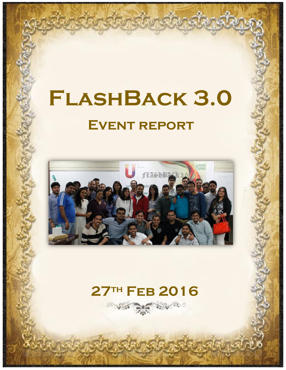# **Event report FlashBack 3.0**



## **27th Feb 2016**

SE O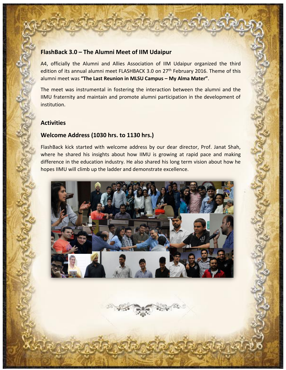#### **FlashBack 3.0 – The Alumni Meet of IIM Udaipur**

A4, officially the Alumni and Allies Association of IIM Udaipur organized the third edition of its annual alumni meet FLASHBACK 3.0 on 27<sup>th</sup> February 2016. Theme of this alumni meet was **"The Last Reunion in MLSU Campus – My Alma Mater"**.

The meet was instrumental in fostering the interaction between the alumni and the IIMU fraternity and maintain and promote alumni participation in the development of institution.

#### **Activities**

#### **Welcome Address (1030 hrs. to 1130 hrs.)**

FlashBack kick started with welcome address by our dear director, Prof. Janat Shah, where he shared his insights about how IIMU is growing at rapid pace and making difference in the education industry. He also shared his long term vision about how he hopes IIMU will climb up the ladder and demonstrate excellence.



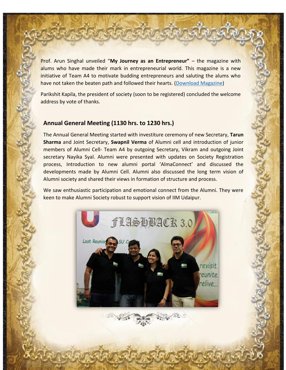Prof. Arun Singhal unveiled "**My Journey as an Entrepreneur"** – the magazine with alums who have made their mark in entrepreneurial world. This magazine is a new initiative of Team A4 to motivate budding entrepreneurs and saluting the alums who have not taken the beaten path and followed their hearts. [\(Download](https://drive.google.com/open?id=0B6X-i0_thOVGRnBuT1RMeERkNDA) Magazine)

Parikshit Kapila, the president of society (soon to be registered) concluded the welcome address by vote of thanks.

#### **Annual General Meeting (1130 hrs. to 1230 hrs.)**

The Annual General Meeting started with investiture ceremony of new Secretary, **Tarun Sharma** and Joint Secretary, **Swapnil Verma** of Alumni cell and introduction of junior members of Alumni Cell- Team A4 by outgoing Secretary, Vikram and outgoing Joint secretary Nayika Syal. Alumni were presented with updates on Society Registration process, Introduction to new alumni portal 'AlmaConnect' and discussed the developments made by Alumni Cell. Alumni also discussed the long term vision of Alumni society and shared their views in formation of structure and process.

We saw enthusiastic participation and emotional connect from the Alumni. They were keen to make Alumni Society robust to support vision of IIM Udaipur.



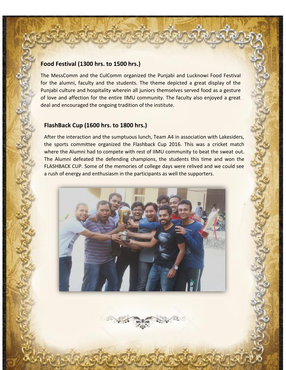#### **Food Festival (1300 hrs. to 1500 hrs.)**

The MessComm and the CulComm organized the Punjabi and Lucknowi Food Festival for the alumni, faculty and the students. The theme depicted a great display of the Punjabi culture and hospitality wherein all juniors themselves served food as a gesture of love and affection for the entire IIMU community. The faculty also enjoyed a great deal and encouraged the ongoing tradition of the institute.

#### **FlashBack Cup (1600 hrs. to 1800 hrs.)**

After the interaction and the sumptuous lunch, Team A4 in association with Lakesiders, the sports committee organized the Flashback Cup 2016. This was a cricket match where the Alumni had to compete with rest of IIMU community to beat the sweat out. The Alumni defeated the defending champions, the students this time and won the FLASHBACK CUP. Some of the memories of college days were relived and we could see a rush of energy and enthusiasm in the participants as well the supporters.



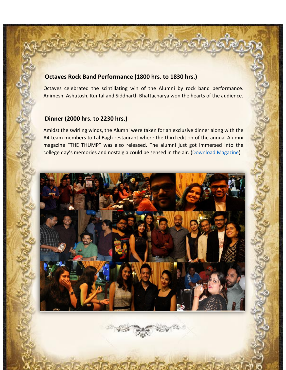#### **Octaves Rock Band Performance (1800 hrs. to 1830 hrs.)**

Octaves celebrated the scintillating win of the Alumni by rock band performance. Animesh, Ashutosh, Kuntal and Siddharth Bhattacharya won the hearts of the audience.

#### **Dinner (2000 hrs. to 2230 hrs.)**

Amidst the swirling winds, the Alumni were taken for an exclusive dinner along with the A4 team members to Lal Bagh restaurant where the third edition of the annual Alumni magazine "THE THUMP" was also released. The alumni just got immersed into the college day's memories and nostalgia could be sensed in the air. [\(Download](https://drive.google.com/open?id=0B6X-i0_thOVGSFZrV0s5Vk5BSXc) Magazine)



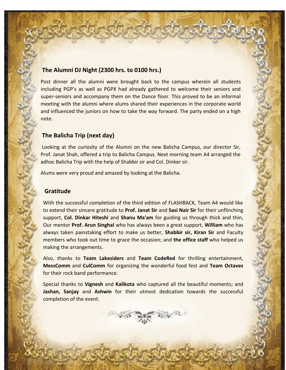#### **The Alumni DJ Night (2300 hrs. to 0100 hrs.)**

Post dinner all the alumni were brought back to the campus wherein all students including PGP's as well as PGPX had already gathered to welcome their seniors and super-seniors and accompany them on the Dance floor. This proved to be an informal meeting with the alumni where alums shared their experiences in the corporate world and influenced the juniors on how to take the way forward. The party ended on a high note.

#### **The Balicha Trip (next day)**

Looking at the curiosity of the Alumni on the new Balicha Campus, our director Sir, Prof. Janat Shah, offered a trip to Balicha Campus. Next morning team A4 arranged the adhoc Balicha Trip with the help of Shabbir sir and Col. Dinker sir.

Alums were very proud and amazed by looking at the Balicha.

#### **Gratitude**

With the successful completion of the third edition of FLASHBACK, Team A4 would like to extend their sincere gratitude to **Prof. Janat Sir** and **Sasi Nair Sir** for their unflinching support, **Col. Dinkar Hiteshi** and **Shanu Ma'am** for guiding us through thick and thin, Our mentor **Prof. Arun Singhal** who has always been a great support, **William** who has always taken painstaking effort to make us better, **Shabbir sir, Kiran Sir** and Faculty members who took out time to grace the occasion; and **the office staff** who helped us making the arrangements.

Also, thanks to **Team Lakesiders** and **Team CodeRed** for thrilling entertainment, **MessComm** and **CulComm** for organizing the wonderful food fest and **Team Octaves** for their rock band performance.

Special thanks to **Vignesh** and **Kalikota** who captured all the beautiful moments; and **Jashan, Sanjay** and **Ashwin** for their utmost dedication towards the successful completion of the event.